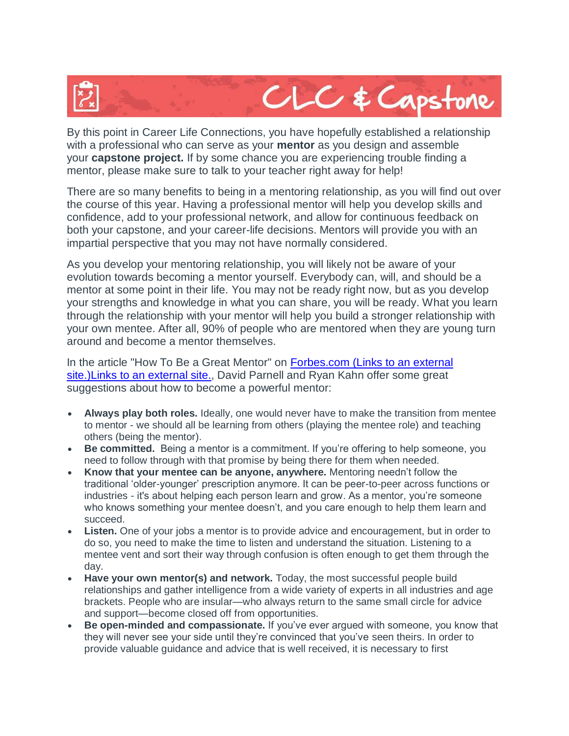

By this point in Career Life Connections, you have hopefully established a relationship with a professional who can serve as your **mentor** as you design and assemble your **capstone project.** If by some chance you are experiencing trouble finding a mentor, please make sure to talk to your teacher right away for help!

There are so many benefits to being in a mentoring relationship, as you will find out over the course of this year. Having a professional mentor will help you develop skills and confidence, add to your professional network, and allow for continuous feedback on both your capstone, and your career-life decisions. Mentors will provide you with an impartial perspective that you may not have normally considered.

As you develop your mentoring relationship, you will likely not be aware of your evolution towards becoming a mentor yourself. Everybody can, will, and should be a mentor at some point in their life. You may not be ready right now, but as you develop your strengths and knowledge in what you can share, you will be ready. What you learn through the relationship with your mentor will help you build a stronger relationship with your own mentee. After all, 90% of people who are mentored when they are young turn around and become a mentor themselves.

In the article "How To Be a Great Mentor" on [Forbes.com](https://www.forbes.com/sites/jacquelynsmith/2013/05/17/how-to-become-a-great-mentor/#4e1b65494f59) (Links to an external [site.\)Links](https://www.forbes.com/sites/jacquelynsmith/2013/05/17/how-to-become-a-great-mentor/#4e1b65494f59) to an external site., David Parnell and Ryan Kahn offer some great suggestions about how to become a powerful mentor:

- **Always play both roles.** Ideally, one would never have to make the transition from mentee to mentor - we should all be learning from others (playing the mentee role) and teaching others (being the mentor).
- **Be committed.** Being a mentor is a commitment. If you're offering to help someone, you need to follow through with that promise by being there for them when needed.
- **Know that your mentee can be anyone, anywhere.** Mentoring needn't follow the traditional 'older-younger' prescription anymore. It can be peer-to-peer across functions or industries - it's about helping each person learn and grow. As a mentor, you're someone who knows something your mentee doesn't, and you care enough to help them learn and succeed.
- **Listen.** One of your jobs a mentor is to provide advice and encouragement, but in order to do so, you need to make the time to listen and understand the situation. Listening to a mentee vent and sort their way through confusion is often enough to get them through the day.
- **Have your own mentor(s) and network.** Today, the most successful people build relationships and gather intelligence from a wide variety of experts in all industries and age brackets. People who are insular—who always return to the same small circle for advice and support—become closed off from opportunities.
- **Be open-minded and compassionate.** If you've ever argued with someone, you know that they will never see your side until they're convinced that you've seen theirs. In order to provide valuable guidance and advice that is well received, it is necessary to first